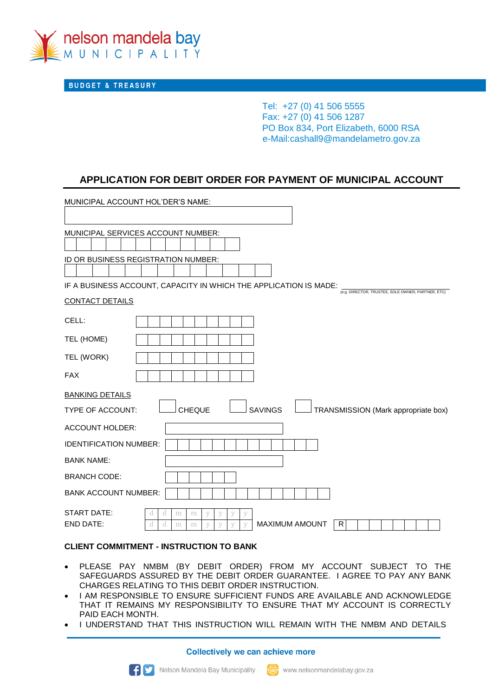

**BUDGET & TREASURY** 

Tel: +27 (0) 41 506 5555 Fax: +27 (0) 41 506 1287 PO Box 834, Port Elizabeth, 6000 RSA e-Mail:cashall9@mandelametro.gov.za

# **APPLICATION FOR DEBIT ORDER FOR PAYMENT OF MUNICIPAL ACCOUNT**

| MUNICIPAL ACCOUNT HOL'DER'S NAME:                                                      |                                                    |
|----------------------------------------------------------------------------------------|----------------------------------------------------|
|                                                                                        |                                                    |
| MUNICIPAL SERVICES ACCOUNT NUMBER:                                                     |                                                    |
|                                                                                        |                                                    |
| ID OR BUSINESS REGISTRATION NUMBER:                                                    |                                                    |
|                                                                                        |                                                    |
| IF A BUSINESS ACCOUNT, CAPACITY IN WHICH THE APPLICATION IS MADE:                      | (e.g. DIRECTOR, TRUSTEE, SOLE OWNER, PARTNER, ETC) |
| <b>CONTACT DETAILS</b>                                                                 |                                                    |
| CELL:                                                                                  |                                                    |
| TEL (HOME)                                                                             |                                                    |
| TEL (WORK)                                                                             |                                                    |
| <b>FAX</b>                                                                             |                                                    |
| <b>BANKING DETAILS</b>                                                                 |                                                    |
| <b>SAVINGS</b><br><b>CHEQUE</b><br><b>TYPE OF ACCOUNT:</b>                             | TRANSMISSION (Mark appropriate box)                |
| <b>ACCOUNT HOLDER:</b>                                                                 |                                                    |
| <b>IDENTIFICATION NUMBER:</b>                                                          |                                                    |
| <b>BANK NAME:</b>                                                                      |                                                    |
| <b>BRANCH CODE:</b>                                                                    |                                                    |
| <b>BANK ACCOUNT NUMBER:</b>                                                            |                                                    |
| START DATE:<br>a<br>m<br>m<br>V                                                        |                                                    |
| <b>END DATE:</b><br><b>MAXIMUM AMOUNT</b><br>R<br>d<br>d<br>V<br>V<br>m<br>V<br>V<br>m |                                                    |

### **CLIENT COMMITMENT - INSTRUCTION TO BANK**

- PLEASE PAY NMBM (BY DEBIT ORDER) FROM MY ACCOUNT SUBJECT TO THE SAFEGUARDS ASSURED BY THE DEBIT ORDER GUARANTEE. I AGREE TO PAY ANY BANK CHARGES RELATING TO THIS DEBIT ORDER INSTRUCTION.
- I AM RESPONSIBLE TO ENSURE SUFFICIENT FUNDS ARE AVAILABLE AND ACKNOWLEDGE THAT IT REMAINS MY RESPONSIBILITY TO ENSURE THAT MY ACCOUNT IS CORRECTLY PAID EACH MONTH.
- I UNDERSTAND THAT THIS INSTRUCTION WILL REMAIN WITH THE NMBM AND DETAILS

**Collectively we can achieve more**